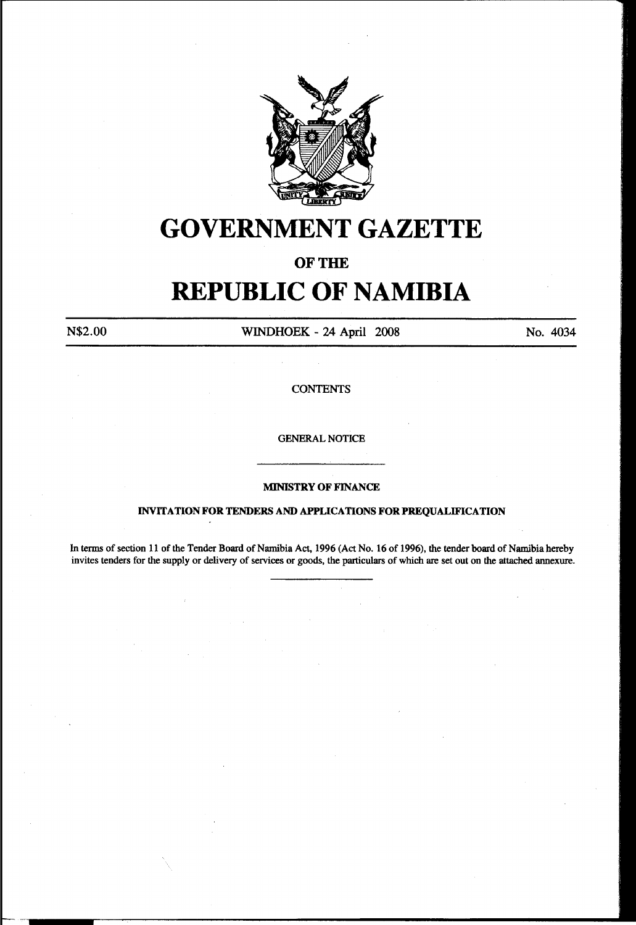

# **GOVERNMENT GAZETTE**

### OF THE

# **REPUBLIC OF NAMIBIA**

N\$2.00 WINDHOEK - 24 April 2008 No. 4034

**CONTENTS** 

GENERAL NOTICE

#### MINISTRY OF FINANCE

#### INVITATION FOR TENDERS AND APPLICATIONS FOR PREQUALIFICATION

In terms of section 11 of the Tender Board of Namibia Act, 1996 (Act No. 16 of 1996), the tender board of Namibia hereby invites tenders for the supply or delivery of services or goods, the particulars of which are set out on the attached annexure.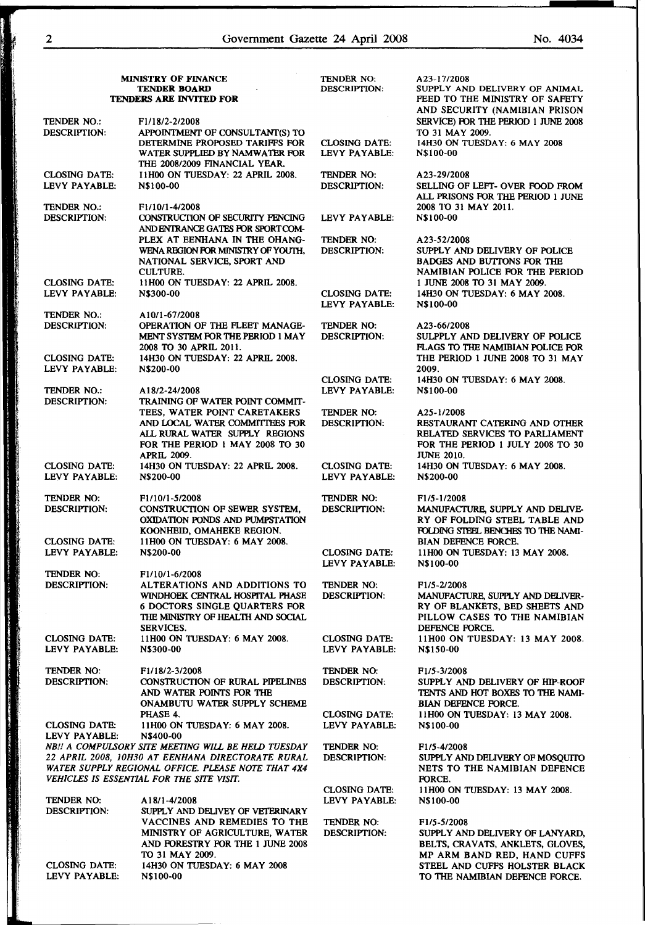| <b>MINISTRY OF FINANCE</b><br><b>TENDER BOARD</b> |                                                                                                 | TENDER NO:<br><b>DESCRIPTION:</b>     | A23-17/2008<br>SUPPLY AND DELIVERY OF ANIMAL          |
|---------------------------------------------------|-------------------------------------------------------------------------------------------------|---------------------------------------|-------------------------------------------------------|
|                                                   |                                                                                                 |                                       |                                                       |
|                                                   |                                                                                                 |                                       | AND SECURITY (NAMIBIAN PRISON                         |
| TENDER NO.:                                       | F1/18/2-2/2008                                                                                  |                                       | SERVICE) FOR THE PERIOD 1 JUNE 2008                   |
| <b>DESCRIPTION:</b>                               | APPOINTMENT OF CONSULTANT(S) TO<br>DETERMINE PROPOSED TARIFFS FOR                               | <b>CLOSING DATE:</b>                  | TO 31 MAY 2009.<br>14H30 ON TUESDAY: 6 MAY 2008       |
|                                                   | WATER SUPPLIED BY NAMWATER FOR                                                                  | LEVY PAYABLE:                         | N\$100-00                                             |
|                                                   | THE 2008/2009 FINANCIAL YEAR.                                                                   |                                       |                                                       |
| <b>CLOSING DATE:</b>                              | <b>I1H00 ON TUESDAY: 22 APRIL 2008.</b>                                                         | TENDER NO:                            | A23-29/2008                                           |
| LEVY PAYABLE:                                     | N\$100-00                                                                                       | <b>DESCRIPTION:</b>                   | SELLING OF LEFT- OVER FOOD FROM                       |
|                                                   |                                                                                                 |                                       | ALL PRISONS FOR THE PERIOD 1 JUNE                     |
| TENDER NO.:                                       | F1/10/1-4/2008                                                                                  |                                       | 2008 TO 31 MAY 2011.                                  |
| <b>DESCRIPTION:</b>                               | CONSTRUCTION OF SECURITY FENCING                                                                | LEVY PAYABLE:                         | N\$100-00                                             |
|                                                   | ANDENTRANCE GATES FOR SPORTCOM-                                                                 |                                       |                                                       |
|                                                   | PLEX AT EENHANA IN THE OHANG-                                                                   | TENDER NO:                            | A23-52/2008                                           |
|                                                   | WENA REGION FOR MINISTRY OF YOUTH.                                                              | <b>DESCRIPTION:</b>                   | SUPPLY AND DELIVERY OF POLICE                         |
|                                                   | NATIONAL SERVICE, SPORT AND                                                                     |                                       | <b>BADGES AND BUTTONS FOR THE</b>                     |
|                                                   | <b>CULTURE.</b>                                                                                 |                                       | NAMIBIAN POLICE FOR THE PERIOD                        |
| <b>CLOSING DATE:</b>                              | 11H00 ON TUESDAY: 22 APRIL 2008.                                                                |                                       | 1 JUNE 2008 TO 31 MAY 2009.                           |
| LEVY PAYABLE:                                     | N\$300-00                                                                                       | <b>CLOSING DATE:</b>                  | 14H30 ON TUESDAY: 6 MAY 2008.                         |
|                                                   |                                                                                                 | LEVY PAYABLE:                         | N\$100-00                                             |
| <b>TENDER NO.:</b>                                | A10/1-67/2008<br>OPERATION OF THE FLEET MANAGE-                                                 | <b>TENDER NO:</b>                     |                                                       |
| <b>DESCRIPTION:</b>                               | MENT SYSTEM FOR THE PERIOD 1 MAY                                                                | <b>DESCRIPTION:</b>                   | A23-66/2008<br>SULPPLY AND DELIVERY OF POLICE         |
|                                                   | 2008 TO 30 APRIL 2011.                                                                          |                                       | FLAGS TO THE NAMIBIAN POLICE FOR                      |
| <b>CLOSING DATE:</b>                              | 14H30 ON TUESDAY: 22 APRIL 2008.                                                                |                                       | THE PERIOD 1 JUNE 2008 TO 31 MAY                      |
| LEVY PAYABLE:                                     | N\$200-00                                                                                       |                                       | 2009.                                                 |
|                                                   |                                                                                                 | <b>CLOSING DATE:</b>                  | 14H30 ON TUESDAY: 6 MAY 2008.                         |
| <b>TENDER NO.:</b>                                | A18/2-24/2008                                                                                   | LEVY PAYABLE:                         | N\$100-00                                             |
| <b>DESCRIPTION:</b>                               | TRAINING OF WATER POINT COMMIT-                                                                 |                                       |                                                       |
|                                                   | TEES, WATER POINT CARETAKERS                                                                    | TENDER NO:                            | A25-1/2008                                            |
|                                                   | AND LOCAL WATER COMMITTEES FOR                                                                  | <b>DESCRIPTION:</b>                   | RESTAURANT CATERING AND OTHER                         |
|                                                   | ALL RURAL WATER SUPPLY REGIONS                                                                  |                                       | RELATED SERVICES TO PARLIAMENT                        |
|                                                   | FOR THE PERIOD 1 MAY 2008 TO 30                                                                 |                                       | FOR THE PERIOD 1 JULY 2008 TO 30                      |
|                                                   | <b>APRIL 2009.</b>                                                                              |                                       | <b>JUNE 2010.</b>                                     |
| <b>CLOSING DATE:</b>                              | 14H30 ON TUESDAY: 22 APRIL 2008.                                                                | <b>CLOSING DATE:</b>                  | 14H30 ON TUESDAY: 6 MAY 2008.                         |
| LEVY PAYABLE:                                     | N\$200-00                                                                                       | LEVY PAYABLE:                         | N\$200-00                                             |
|                                                   |                                                                                                 |                                       |                                                       |
| TENDER NO:                                        | F <sub>1</sub> /10/1-5/2008                                                                     | TENDER NO:                            | F1/5-1/2008                                           |
| <b>DESCRIPTION:</b>                               | CONSTRUCTION OF SEWER SYSTEM,                                                                   | <b>DESCRIPTION:</b>                   | MANUFACTURE, SUPPLY AND DELIVE-                       |
|                                                   | OXIDATION PONDS AND PUMPSTATION                                                                 |                                       | RY OF FOLDING STEEL TABLE AND                         |
| <b>CLOSING DATE:</b>                              | KOONHEID, OMAHEKE REGION.<br>11H00 ON TUESDAY: 6 MAY 2008.                                      |                                       | FOLDING STEEL BENCHES TO THE NAMI-                    |
| LEVY PAYABLE:                                     | N\$200-00                                                                                       | <b>CLOSING DATE:</b>                  | BIAN DEFENCE FORCE.<br>11H00 ON TUESDAY: 13 MAY 2008. |
|                                                   |                                                                                                 | LEVY PAYABLE:                         | N\$100-00                                             |
| TENDER NO:                                        | F1/10/1-6/2008                                                                                  |                                       |                                                       |
| <b>DESCRIPTION:</b>                               | ALTERATIONS AND ADDITIONS TO                                                                    | TENDER NO:                            | F <sub>1</sub> /5-2/2008                              |
|                                                   | WINDHOEK CENTRAL HOSPITAL PHASE                                                                 | <b>DESCRIPTION:</b>                   | MANUFACTURE, SUPPLY AND DELIVER-                      |
|                                                   | 6 DOCTORS SINGLE QUARTERS FOR                                                                   |                                       | RY OF BLANKETS, BED SHEETS AND                        |
|                                                   | THE MINISTRY OF HEALTH AND SOCIAL                                                               |                                       | PILLOW CASES TO THE NAMIBIAN                          |
|                                                   | <b>SERVICES.</b>                                                                                |                                       | DEFENCE FORCE.                                        |
| <b>CLOSING DATE:</b>                              | 11H00 ON TUESDAY: 6 MAY 2008.                                                                   | <b>CLOSING DATE:</b>                  | 11H00 ON TUESDAY: 13 MAY 2008.                        |
| LEVY PAYABLE:                                     | N\$300-00                                                                                       | LEVY PAYABLE:                         | N\$150-00                                             |
|                                                   |                                                                                                 |                                       |                                                       |
| TENDER NO:                                        | F <sub>1</sub> /18/2-3/2008                                                                     | TENDER NO:                            | F <sub>1</sub> /5-3/2008                              |
| <b>DESCRIPTION:</b>                               | CONSTRUCTION OF RURAL PIPELINES                                                                 | <b>DESCRIPTION:</b>                   | SUPPLY AND DELIVERY OF HIP-ROOF                       |
|                                                   | AND WATER POINTS FOR THE                                                                        |                                       | TENTS AND HOT BOXES TO THE NAMI-                      |
|                                                   | ONAMBUTU WATER SUPPLY SCHEME                                                                    |                                       | <b>BIAN DEFENCE FORCE.</b>                            |
|                                                   | PHASE 4.                                                                                        | <b>CLOSING DATE:</b>                  | 11H00 ON TUESDAY: 13 MAY 2008.                        |
| CLOSING DATE:                                     | 11H00 ON TUESDAY: 6 MAY 2008.                                                                   | LEVY PAYABLE:                         | N\$100-00                                             |
| LEVY PAYABLE:                                     | N\$400-00                                                                                       |                                       |                                                       |
|                                                   | NB !! A COMPULSORY SITE MEETING WILL BE HELD TUESDAY                                            | TENDER NO:                            | F1/5-4/2008                                           |
|                                                   | 22 APRIL 2008, 10H30 AT EENHANA DIRECTORATE RURAL                                               | <b>DESCRIPTION:</b>                   | SUPPLY AND DELIVERY OF MOSQUITO                       |
|                                                   | WATER SUPPLY REGIONAL OFFICE. PLEASE NOTE THAT 4X4<br>VEHICLES IS ESSENTIAL FOR THE SITE VISIT. |                                       | NETS TO THE NAMIBIAN DEFENCE                          |
|                                                   |                                                                                                 |                                       | FORCE.                                                |
| TENDER NO:                                        | A18/1-4/2008                                                                                    | <b>CLOSING DATE:</b><br>LEVY PAYABLE: | 11H00 ON TUESDAY: 13 MAY 2008.<br>N\$100-00           |
| DESCRIPTION:                                      | SUPPLY AND DELIVEY OF VETERINARY                                                                |                                       |                                                       |
|                                                   | VACCINES AND REMEDIES TO THE                                                                    | TENDER NO:                            | F1/5-5/2008                                           |
|                                                   | MINISTRY OF AGRICULTURE, WATER                                                                  | <b>DESCRIPTION:</b>                   | SUPPLY AND DELIVERY OF LANYARD,                       |
|                                                   | AND FORESTRY FOR THE 1 JUNE 2008                                                                |                                       | BELTS, CRAVATS, ANKLETS, GLOVES,                      |
|                                                   | TO 31 MAY 2009.                                                                                 |                                       | MP ARM BAND RED, HAND CUFFS                           |
| <b>CLOSING DATE:</b>                              | 14H30 ON TUESDAY: 6 MAY 2008                                                                    |                                       | STEEL AND CUFFS HOLSTER BLACK                         |
| LEVY PAYABLE:                                     | N\$100-00                                                                                       |                                       | TO THE NAMIBIAN DEFENCE FORCE.                        |

i

**MARTIN AND COMPANY** 

**Contract of the Contract of the Contract of the Contract of the Contract of the Contract of the Contract of the Contract of the Contract of the Contract of the Contract of the Contract of the Contract of the Contract of t** 

ľ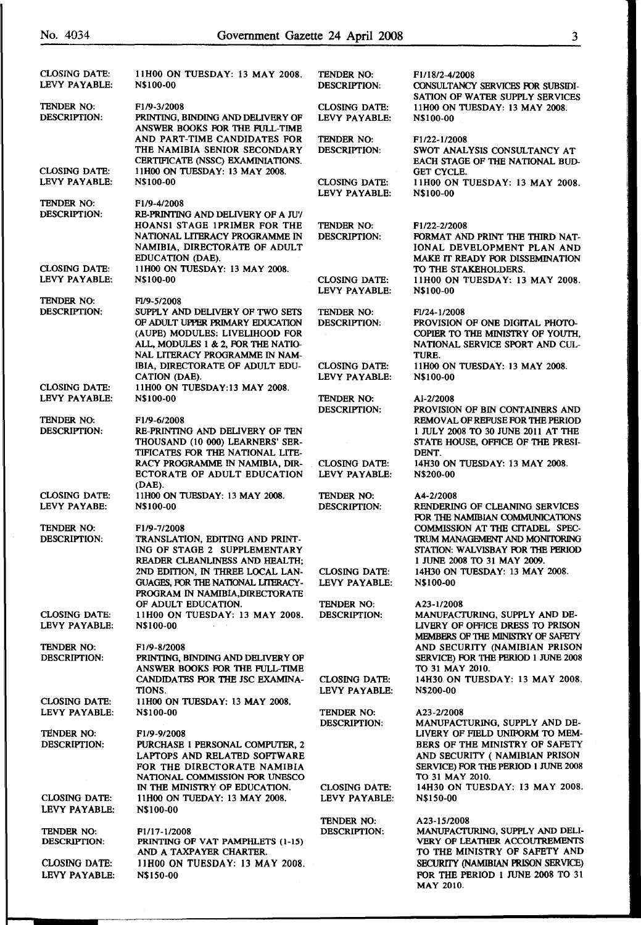| No. 4034                              |                                                                                                           | Government Gazette 24 April 2008      | $\overline{\mathbf{3}}$                                                                      |
|---------------------------------------|-----------------------------------------------------------------------------------------------------------|---------------------------------------|----------------------------------------------------------------------------------------------|
|                                       |                                                                                                           |                                       |                                                                                              |
| <b>CLOSING DATE:</b><br>LEVY PAYABLE: | 11H00 ON TUESDAY: 13 MAY 2008.<br>N\$100-00                                                               | TENDER NO:<br><b>DESCRIPTION:</b>     | F1/18/2-4/2008<br>CONSULTANCY SERVICES FOR SUBSIDI-<br>SATION OF WATER SUPPLY SERVICES       |
| TENDER NO:<br><b>DESCRIPTION:</b>     | F <sub>1</sub> /9-3/2008<br>PRINTING, BINDING AND DELIVERY OF<br>ANSWER BOOKS FOR THE FULL-TIME           | <b>CLOSING DATE:</b><br>LEVY PAYABLE: | 11H00 ON TUESDAY: 13 MAY 2008.<br>N\$100-00                                                  |
|                                       | AND PART-TIME CANDIDATES FOR<br>THE NAMIBIA SENIOR SECONDARY<br>CERTIFICATE (NSSC) EXAMINIATIONS.         | TENDER NO:<br><b>DESCRIPTION:</b>     | F <sub>1</sub> /22-1/2008<br>SWOT ANALYSIS CONSULTANCY AT<br>EACH STAGE OF THE NATIONAL BUD- |
| <b>CLOSING DATE:</b><br>LEVY PAYABLE: | 11H00 ON TUESDAY: 13 MAY 2008.<br><b>N\$100-00</b>                                                        | <b>CLOSING DATE:</b>                  | <b>GET CYCLE.</b><br>11H00 ON TUESDAY: 13 MAY 2008.                                          |
| TENDER NO:                            | F <sub>1</sub> /9-4/2008                                                                                  | LEVY PAYABLE:                         | N\$100-00                                                                                    |
| <b>DESCRIPTION:</b>                   | RE-PRINTING AND DELIVERY OF A JUY                                                                         |                                       |                                                                                              |
|                                       | HOANSI STAGE IPRIMER FOR THE                                                                              | TENDER NO:                            | F1/22-2/2008                                                                                 |
|                                       | NATIONAL LITERACY PROGRAMME IN<br>NAMIBIA, DIRECTORATE OF ADULT                                           | <b>DESCRIPTION:</b>                   | FORMAT AND PRINT THE THIRD NAT-<br>IONAL DEVELOPMENT PLAN AND                                |
| <b>CLOSING DATE:</b>                  | EDUCATION (DAE).<br>11H00 ON TUESDAY: 13 MAY 2008.                                                        |                                       | MAKE IT READY FOR DISSEMINATION<br>TO THE STAKEHOLDERS.                                      |
| LEVY PAYABLE:                         | N\$100-00                                                                                                 | <b>CLOSING DATE:</b><br>LEVY PAYABLE: | 11H00 ON TUESDAY: 13 MAY 2008.<br>N\$100-00                                                  |
| TENDER NO:                            | FI/9-5/2008                                                                                               |                                       |                                                                                              |
| <b>DESCRIPTION:</b>                   | SUPPLY AND DELIVERY OF TWO SETS<br>OF ADULT UPPER PRIMARY EDUCATION<br>(AUPE) MODULES: LIVELIHOOD FOR     | TENDER NO:<br><b>DESCRIPTION:</b>     | F1/24-1/2008<br>PROVISION OF ONE DIGITAL PHOTO-<br>COPIER TO THE MINISTRY OF YOUTH.          |
|                                       | ALL, MODULES 1 & 2, FOR THE NATIO-<br>NAL LITERACY PROGRAMME IN NAM-                                      |                                       | NATIONAL SERVICE SPORT AND CUL-<br>TURE.                                                     |
| <b>CLOSING DATE:</b>                  | IBIA, DIRECTORATE OF ADULT EDU-<br>CATION (DAE).<br>11H00 ON TUESDAY:13 MAY 2008.                         | <b>CLOSING DATE:</b><br>LEVY PAYABLE: | 11H00 ON TUESDAY: 13 MAY 2008.<br>N\$100-00                                                  |
| LEVY PAYABLE:                         | N\$100-00                                                                                                 | TENDER NO:                            | AI-2/2008                                                                                    |
|                                       |                                                                                                           | <b>DESCRIPTION:</b>                   | PROVISION OF BIN CONTAINERS AND                                                              |
| TENDER NO:                            | F1/9-6/2008                                                                                               |                                       | REMOVAL OF REFUSE FOR THE PERIOD                                                             |
| <b>DESCRIPTION:</b>                   | RE-PRINTING AND DELIVERY OF TEN<br>THOUSAND (10 000) LEARNERS' SER-                                       |                                       | 1 JULY 2008 TO 30 JUNE 2011 AT THE<br>STATE HOUSE, OFFICE OF THE PRESI-                      |
|                                       | TIFICATES FOR THE NATIONAL LITE-<br>RACY PROGRAMME IN NAMIBIA, DIR-                                       | <b>CLOSING DATE:</b>                  | DENT.<br>14H30 ON TUESDAY: 13 MAY 2008.                                                      |
|                                       | <b>ECTORATE OF ADULT EDUCATION</b><br>(DAE).                                                              | LEVY PAYABLE:                         | <b>N\$200-00</b>                                                                             |
| <b>CLOSING DATE:</b>                  | 11H00 ON TUESDAY: 13 MAY 2008.                                                                            | TENDER NO:                            | A4-2/2008                                                                                    |
| LEVY PAYABE:                          | N\$100-00                                                                                                 | <b>DESCRIPTION:</b>                   | RENDERING OF CLEANING SERVICES<br>FOR THE NAMIBIAN COMMUNICATIONS                            |
| TENDER NO:<br><b>DESCRIPTION:</b>     | F1/9-7/2008<br>TRANSLATION, EDITING AND PRINT-                                                            |                                       | COMMISSION AT THE CITADEL SPEC-<br>TRUM MANAGEMENT AND MONITORING                            |
|                                       | ING OF STAGE 2 SUPPLEMENTARY                                                                              |                                       | STATION: WALVISBAY FOR THE PERIOD                                                            |
|                                       | READER CLEANLINESS AND HEALTH;                                                                            |                                       | 1 JUNE 2008 TO 31 MAY 2009.                                                                  |
|                                       | 2ND EDITION, IN THREE LOCAL LAN-<br>GUAGES, FOR THE NATIONAL LITERACY-<br>PROGRAM IN NAMIBIA, DIRECTORATE | <b>CLOSING DATE:</b><br>LEVY PAYABLE: | 14H30 ON TUESDAY: 13 MAY 2008.<br>N\$100-00                                                  |
|                                       | OF ADULT EDUCATION.                                                                                       | TENDER NO:                            | A23-1/2008                                                                                   |
| <b>CLOSING DATE:</b><br>LEVY PAYABLE: | 11H00 ON TUESDAY: 13 MAY 2008.<br><b>N\$100-00</b>                                                        | <b>DESCRIPTION:</b>                   | MANUFACTURING, SUPPLY AND DE-<br>LIVERY OF OFFICE DRESS TO PRISON                            |
|                                       |                                                                                                           |                                       | <b>MEMBERS OF THE MINISTRY OF SAFETY</b><br>AND SECURITY (NAMIBIAN PRISON                    |
| TENDER NO:<br>DESCRIPTION:            | F <sub>1/9</sub> -8/2008<br>PRINTING, BINDING AND DELIVERY OF<br>ANSWER BOOKS FOR THE FULL-TIME           |                                       | SERVICE) FOR THE PERIOD 1 JUNE 2008<br>TO 31 MAY 2010.                                       |
|                                       | CANDIDATES FOR THE JSC EXAMINA-<br>TIONS.                                                                 | CLOSING DATE:<br>LEVY PAYABLE:        | 14H30 ON TUESDAY: 13 MAY 2008.<br><b>N\$200-00</b>                                           |
| CLOSING DATE:                         | 11H00 ON TUESDAY: 13 MAY 2008.                                                                            |                                       |                                                                                              |
| LEVY PAYABLE:                         | N\$100-00                                                                                                 | TENDER NO:<br><b>DESCRIPTION:</b>     | A23-2/2008<br>MANUFACTURING, SUPPLY AND DE-                                                  |

MAY 2010.

TIONS. LEVY PAYABLI CLOSING DATE: 11H00 ON TUESDAY: 13 MAY 2008. LEVY PAYABLE: N\$100-00 TENDER NO: DESCRIPTION: TENDER NO: F1/9-9/2008<br>DESCRIPTION: PURCHASE 1 PERSONAL COMPUTER. 2 BERS OF THE MINISTRY OF SAFETY PURCHASE 1 PERSONAL COMPUTER, 2 LAPTOPS AND RELATED SOFTWARE AND SECURITY ( NAMIBIAN PRISON FOR THE DIRECTORATE NAMIBIA SERVICE) FOR THE PERIOD 1 JUNE 2008<br>NATIONAL COMMISSION FOR UNESCO TO 31 MAY 2010. NATIONAL COMMISSION FOR UNESCO IN THE MINISTRY OF EDUCATION. CLOSING DATE: 14H30 ON TUESDAY: 13 MAY 2008. CLOSING DATE: llHOO ON TUEDAY: 13 MAY 2008. LEVY PAYABLE: N\$150-00 LEVY PAYABLE: N\$100-00 TENDER NO: A23-15/2008 TENDER NO: F1/17-1/2008 DESCRIPTION: MANUFACTURING, SUPPLY AND DELI-<br>DESCRIPTION: PRINTING OF VAT PAMPHLETS (1-15) VERY OF LEATHER ACCOUTREMENTS DESCRIPTION: PRINTING OF VAT PAMPHLETS (1-15) VERY OF LEATHER ACCOUTREMENTS AND A TAXPAYER CHARTER. TO THE MINISTRY OF SAFETY AND CLOSING DATE: llHOO ON TUESDAY: 13 MAY 2008. SECURITY (NAMIBIAN PRISON SERVICE) LEVY PAYABLE: N\$150-00 FOR THE PERIOD 1 JUNE 2008 TO 31